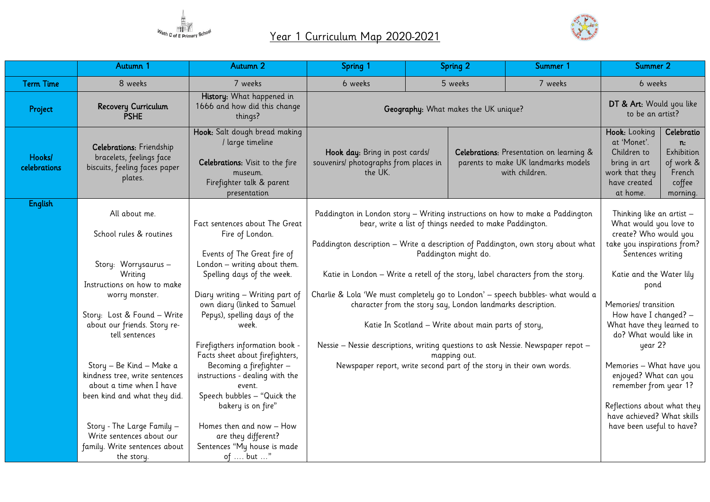



|                        | Autumn 1                                                                                                | Autumn 2                                                                                                                                     | Spring 1                                                                                         |                                                                                                                                                                              | Spring 2                 | Summer 1                                                                                                  | Summer 2                                                                    |                       |  |
|------------------------|---------------------------------------------------------------------------------------------------------|----------------------------------------------------------------------------------------------------------------------------------------------|--------------------------------------------------------------------------------------------------|------------------------------------------------------------------------------------------------------------------------------------------------------------------------------|--------------------------|-----------------------------------------------------------------------------------------------------------|-----------------------------------------------------------------------------|-----------------------|--|
| <b>Term Time</b>       | 8 weeks                                                                                                 | 7 weeks                                                                                                                                      | 6 weeks                                                                                          |                                                                                                                                                                              | 5 weeks                  | 7 weeks                                                                                                   | 6 weeks                                                                     |                       |  |
| Project                | Recovery Curriculum<br><b>PSHE</b>                                                                      | History: What happened in<br>1666 and how did this change<br>things?                                                                         | Geography: What makes the UK unique?                                                             |                                                                                                                                                                              |                          | DT & Art: Would you like<br>to be an artist?                                                              |                                                                             |                       |  |
| Hooks/<br>celebrations | <b>Celebrations:</b> Friendship<br>bracelets, feelings face<br>biscuits, feeling faces paper<br>plates. | Hook: Salt dough bread making<br>/ large timeline<br>Celebrations: Visit to the fire<br>museum.<br>Firefighter talk & parent<br>presentation | the UK.                                                                                          | Hook day: Bring in post cards/<br>Celebrations: Presentation on learning &<br>souvenirs/ photographs from places in<br>parents to make UK landmarks models<br>with children. |                          | Hook: Looking<br>at 'Monet'.<br>Children to<br>bring in art<br>work that they<br>have created<br>at home. | Celebratio<br>n:<br>Exhibition<br>of work &<br>French<br>coffee<br>morning. |                       |  |
| <b>English</b>         |                                                                                                         |                                                                                                                                              |                                                                                                  |                                                                                                                                                                              |                          |                                                                                                           |                                                                             |                       |  |
|                        | All about me.                                                                                           | Fact sentences about The Great                                                                                                               | Paddington in London story - Writing instructions on how to make a Paddington                    |                                                                                                                                                                              |                          |                                                                                                           | Thinking like an artist -<br>What would you love to                         |                       |  |
|                        | School rules & routines                                                                                 | Fire of London.                                                                                                                              |                                                                                                  | bear, write a list of things needed to make Paddington.                                                                                                                      |                          |                                                                                                           |                                                                             | create? Who would you |  |
|                        |                                                                                                         | Events of The Great fire of                                                                                                                  | Paddington description - Write a description of Paddington, own story about what                 |                                                                                                                                                                              |                          |                                                                                                           | take you inspirations from?<br>Sentences writing                            |                       |  |
|                        | Story: Worrysaurus -                                                                                    | London - writing about them.                                                                                                                 | Paddington might do.                                                                             |                                                                                                                                                                              |                          |                                                                                                           |                                                                             |                       |  |
|                        | Writing                                                                                                 | Spelling days of the week.                                                                                                                   | Katie in London - Write a retell of the story, label characters from the story.                  |                                                                                                                                                                              |                          | Katie and the Water lily                                                                                  |                                                                             |                       |  |
|                        | Instructions on how to make<br>worry monster.                                                           | Diary writing - Writing part of                                                                                                              | Charlie & Lola 'We must completely go to London' - speech bubbles- what would a                  |                                                                                                                                                                              |                          | pond                                                                                                      |                                                                             |                       |  |
|                        |                                                                                                         | own diary (linked to Samuel                                                                                                                  | character from the story say, London landmarks description.                                      |                                                                                                                                                                              |                          | Memories/ transition                                                                                      |                                                                             |                       |  |
|                        | Story: Lost & Found - Write                                                                             | Pepys), spelling days of the                                                                                                                 |                                                                                                  |                                                                                                                                                                              |                          | How have I changed? -                                                                                     |                                                                             |                       |  |
|                        | about our friends. Story re-<br>tell sentences                                                          | week.                                                                                                                                        | Katie In Scotland - Write about main parts of story,                                             |                                                                                                                                                                              |                          | What have they learned to<br>do? What would like in                                                       |                                                                             |                       |  |
|                        |                                                                                                         | Firefigthers information book -<br>Facts sheet about firefighters,                                                                           | Nessie - Nessie descriptions, writing questions to ask Nessie. Newspaper repot -<br>mapping out. |                                                                                                                                                                              |                          | year 2?                                                                                                   |                                                                             |                       |  |
|                        | Story - Be Kind - Make a                                                                                | Becoming a firefighter -                                                                                                                     | Newspaper report, write second part of the story in their own words.                             |                                                                                                                                                                              | Memories - What have you |                                                                                                           |                                                                             |                       |  |
|                        | kindness tree, write sentences<br>about a time when I have                                              | instructions - dealing with the<br>event.                                                                                                    |                                                                                                  |                                                                                                                                                                              |                          |                                                                                                           | enjoyed? What can you<br>remember from year 1?                              |                       |  |
|                        | been kind and what they did.                                                                            | Speech bubbles - "Quick the                                                                                                                  |                                                                                                  |                                                                                                                                                                              |                          |                                                                                                           |                                                                             |                       |  |
|                        |                                                                                                         | bakery is on fire"                                                                                                                           |                                                                                                  |                                                                                                                                                                              |                          |                                                                                                           | Reflections about what they                                                 |                       |  |
|                        | Story - The Large Family -                                                                              | Homes then and now - How                                                                                                                     |                                                                                                  |                                                                                                                                                                              |                          |                                                                                                           | have achieved? What skills<br>have been useful to have?                     |                       |  |
|                        | Write sentences about our                                                                               | are they different?                                                                                                                          |                                                                                                  |                                                                                                                                                                              |                          |                                                                                                           |                                                                             |                       |  |
|                        | family. Write sentences about                                                                           | Sentences "My house is made                                                                                                                  |                                                                                                  |                                                                                                                                                                              |                          |                                                                                                           |                                                                             |                       |  |
|                        | the story.                                                                                              | of  but "                                                                                                                                    |                                                                                                  |                                                                                                                                                                              |                          |                                                                                                           |                                                                             |                       |  |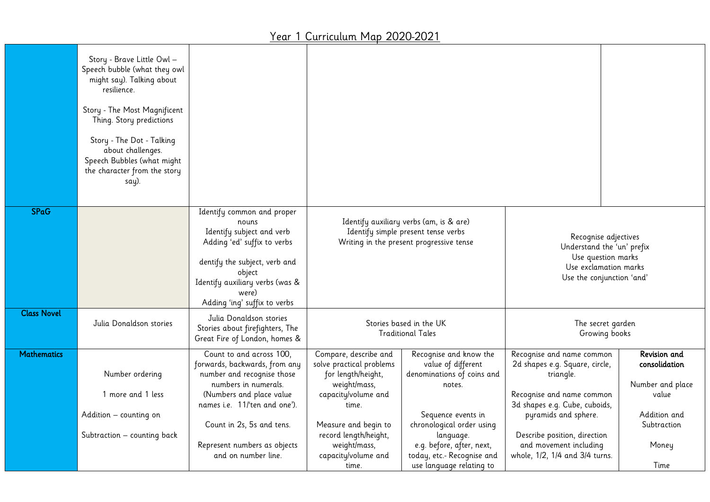|                    | Story - Brave Little Owl -<br>Speech bubble (what they owl<br>might say). Talking about<br>resilience.<br>Story - The Most Magnificent<br>Thing. Story predictions<br>Story - The Dot - Talking<br>about challenges.<br>Speech Bubbles (what might<br>the character from the story<br>say). |                                                                                                                                                                                                                                                                 |                                                                                                                                                                                                                 |                                                                                                                                                                                                                 |                                                                                                                                                                                                                                                            |                                                                                                    |  |
|--------------------|---------------------------------------------------------------------------------------------------------------------------------------------------------------------------------------------------------------------------------------------------------------------------------------------|-----------------------------------------------------------------------------------------------------------------------------------------------------------------------------------------------------------------------------------------------------------------|-----------------------------------------------------------------------------------------------------------------------------------------------------------------------------------------------------------------|-----------------------------------------------------------------------------------------------------------------------------------------------------------------------------------------------------------------|------------------------------------------------------------------------------------------------------------------------------------------------------------------------------------------------------------------------------------------------------------|----------------------------------------------------------------------------------------------------|--|
| <b>SPaG</b>        |                                                                                                                                                                                                                                                                                             | Identify common and proper<br>nouns<br>Identify subject and verb<br>Adding 'ed' suffix to verbs<br>dentify the subject, verb and<br>object<br>Identify auxiliary verbs (was &<br>were)<br>Adding 'ing' suffix to verbs                                          |                                                                                                                                                                                                                 | Identify auxiliary verbs (am, is & are)<br>Identify simple present tense verbs<br>Writing in the present progressive tense                                                                                      | Recognise adjectives<br>Understand the 'un' prefix<br>Use question marks<br>Use exclamation marks<br>Use the conjunction 'and'                                                                                                                             |                                                                                                    |  |
| <b>Class Novel</b> | Julia Donaldson stories                                                                                                                                                                                                                                                                     | Julia Donaldson stories<br>Stories about firefighters, The<br>Great Fire of London, homes &                                                                                                                                                                     | Stories based in the UK<br><b>Traditional Tales</b>                                                                                                                                                             |                                                                                                                                                                                                                 | The secret garden<br>Growing books                                                                                                                                                                                                                         |                                                                                                    |  |
| <b>Mathematics</b> | Number ordering<br>1 more and 1 less<br>Addition - counting on<br>Subtraction - counting back                                                                                                                                                                                               | Count to and across 100,<br>forwards, backwards, from any<br>number and recognise those<br>numbers in numerals.<br>(Numbers and place value<br>names i.e. 11'ten and one').<br>Count in 2s, 5s and tens.<br>Represent numbers as objects<br>and on number line. | Compare, describe and<br>solve practical problems<br>for length/height,<br>weight/mass,<br>capacity/volume and<br>time.<br>Measure and begin to<br>record length/height,<br>weight/mass,<br>capacity/volume and | Recognise and know the<br>value of different<br>denominations of coins and<br>notes.<br>Sequence events in<br>chronological order using<br>language.<br>e.g. before, after, next,<br>today, etc.- Recognise and | Recognise and name common<br>2d shapes e.g. Square, circle,<br>triangle.<br>Recognise and name common<br>3d shapes e.g. Cube, cuboids,<br>pyramids and sphere.<br>Describe position, direction<br>and movement including<br>whole, 1/2, 1/4 and 3/4 turns. | Revision and<br>consolidation<br>Number and place<br>value<br>Addition and<br>Subtraction<br>Money |  |
|                    |                                                                                                                                                                                                                                                                                             |                                                                                                                                                                                                                                                                 | time.                                                                                                                                                                                                           | use language relating to                                                                                                                                                                                        |                                                                                                                                                                                                                                                            | Time                                                                                               |  |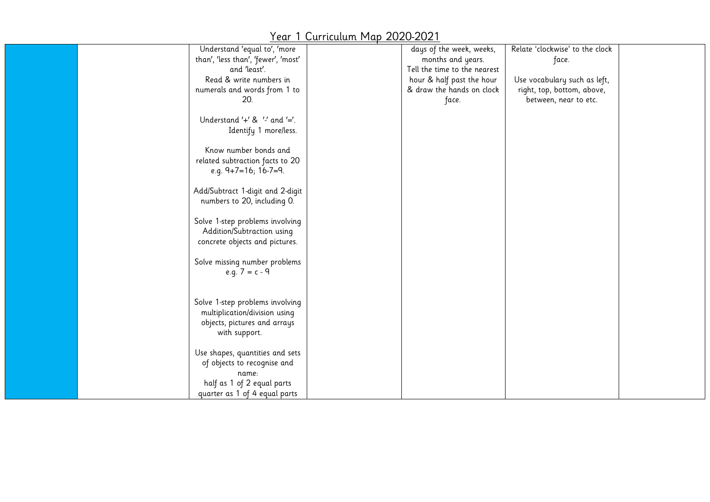| Understand 'equal to', 'more<br>than', 'less than', 'fewer', 'most'<br>and 'least'.<br>Read & write numbers in<br>numerals and words from 1 to<br>20. | days of the week, weeks,<br>months and years.<br>Tell the time to the nearest<br>hour & half past the hour<br>& draw the hands on clock<br>face. | Relate 'clockwise' to the clock<br>face.<br>Use vocabulary such as left,<br>right, top, bottom, above,<br>between, near to etc. |  |
|-------------------------------------------------------------------------------------------------------------------------------------------------------|--------------------------------------------------------------------------------------------------------------------------------------------------|---------------------------------------------------------------------------------------------------------------------------------|--|
| Understand $'+'$ & $'-'$ and $'-'$ .<br>Identify 1 more/less.                                                                                         |                                                                                                                                                  |                                                                                                                                 |  |
| Know number bonds and<br>related subtraction facts to 20<br>e.g. $9+7=16$ ; $16-7=9$ .                                                                |                                                                                                                                                  |                                                                                                                                 |  |
| Add/Subtract 1-digit and 2-digit<br>numbers to 20, including 0.                                                                                       |                                                                                                                                                  |                                                                                                                                 |  |
| Solve 1-step problems involving<br>Addition/Subtraction using<br>concrete objects and pictures.                                                       |                                                                                                                                                  |                                                                                                                                 |  |
| Solve missing number problems<br>e.g. $7 = c - 9$                                                                                                     |                                                                                                                                                  |                                                                                                                                 |  |
| Solve 1-step problems involving<br>multiplication/division using<br>objects, pictures and arrays<br>with support.                                     |                                                                                                                                                  |                                                                                                                                 |  |
| Use shapes, quantities and sets<br>of objects to recognise and<br>name:<br>half as 1 of 2 equal parts                                                 |                                                                                                                                                  |                                                                                                                                 |  |
| quarter as 1 of 4 equal parts                                                                                                                         |                                                                                                                                                  |                                                                                                                                 |  |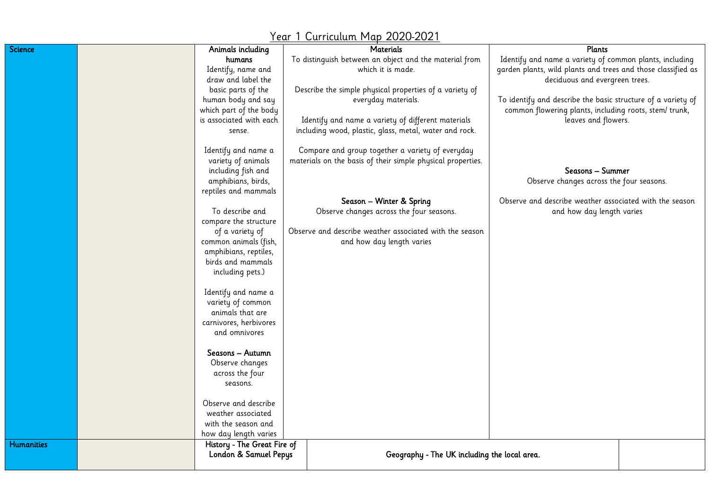| Year 1 Curriculum Map 2020-2021 |  |                             |  |                                                             |                                                              |  |  |
|---------------------------------|--|-----------------------------|--|-------------------------------------------------------------|--------------------------------------------------------------|--|--|
| Science                         |  | Animals including           |  | <b>Materials</b>                                            | <b>Plants</b>                                                |  |  |
|                                 |  | humans                      |  | To distinguish between an object and the material from      | Identify and name a variety of common plants, including      |  |  |
|                                 |  | Identify, name and          |  | which it is made.                                           | garden plants, wild plants and trees and those classified as |  |  |
|                                 |  | draw and label the          |  |                                                             | deciduous and evergreen trees.                               |  |  |
|                                 |  | basic parts of the          |  | Describe the simple physical properties of a variety of     |                                                              |  |  |
|                                 |  | human body and say          |  | everyday materials.                                         | To identify and describe the basic structure of a variety of |  |  |
|                                 |  | which part of the body      |  |                                                             | common flowering plants, including roots, stem/ trunk,       |  |  |
|                                 |  | is associated with each     |  | Identify and name a variety of different materials          | leaves and flowers.                                          |  |  |
|                                 |  | sense.                      |  | including wood, plastic, glass, metal, water and rock.      |                                                              |  |  |
|                                 |  | Identify and name a         |  | Compare and group together a variety of everyday            |                                                              |  |  |
|                                 |  | variety of animals          |  | materials on the basis of their simple physical properties. |                                                              |  |  |
|                                 |  | including fish and          |  |                                                             | Seasons - Summer                                             |  |  |
|                                 |  | amphibians, birds,          |  |                                                             | Observe changes across the four seasons.                     |  |  |
|                                 |  | reptiles and mammals        |  |                                                             |                                                              |  |  |
|                                 |  |                             |  | Season - Winter & Spring                                    | Observe and describe weather associated with the season      |  |  |
|                                 |  | To describe and             |  | Observe changes across the four seasons.                    | and how day length varies                                    |  |  |
|                                 |  | compare the structure       |  |                                                             |                                                              |  |  |
|                                 |  | of a variety of             |  | Observe and describe weather associated with the season     |                                                              |  |  |
|                                 |  | common animals (fish,       |  | and how day length varies                                   |                                                              |  |  |
|                                 |  | amphibians, reptiles,       |  |                                                             |                                                              |  |  |
|                                 |  | birds and mammals           |  |                                                             |                                                              |  |  |
|                                 |  | including pets.)            |  |                                                             |                                                              |  |  |
|                                 |  | Identify and name a         |  |                                                             |                                                              |  |  |
|                                 |  | variety of common           |  |                                                             |                                                              |  |  |
|                                 |  | animals that are            |  |                                                             |                                                              |  |  |
|                                 |  | carnivores, herbivores      |  |                                                             |                                                              |  |  |
|                                 |  | and omnivores               |  |                                                             |                                                              |  |  |
|                                 |  |                             |  |                                                             |                                                              |  |  |
|                                 |  | Seasons — Autumn            |  |                                                             |                                                              |  |  |
|                                 |  | Observe changes             |  |                                                             |                                                              |  |  |
|                                 |  | across the four             |  |                                                             |                                                              |  |  |
|                                 |  | seasons.                    |  |                                                             |                                                              |  |  |
|                                 |  | Observe and describe        |  |                                                             |                                                              |  |  |
|                                 |  | weather associated          |  |                                                             |                                                              |  |  |
|                                 |  | with the season and         |  |                                                             |                                                              |  |  |
|                                 |  | how day length varies       |  |                                                             |                                                              |  |  |
| <b>Humanities</b>               |  | History - The Great Fire of |  |                                                             |                                                              |  |  |
|                                 |  | London & Samuel Pepys       |  | Geography - The UK including the local area.                |                                                              |  |  |
|                                 |  |                             |  |                                                             |                                                              |  |  |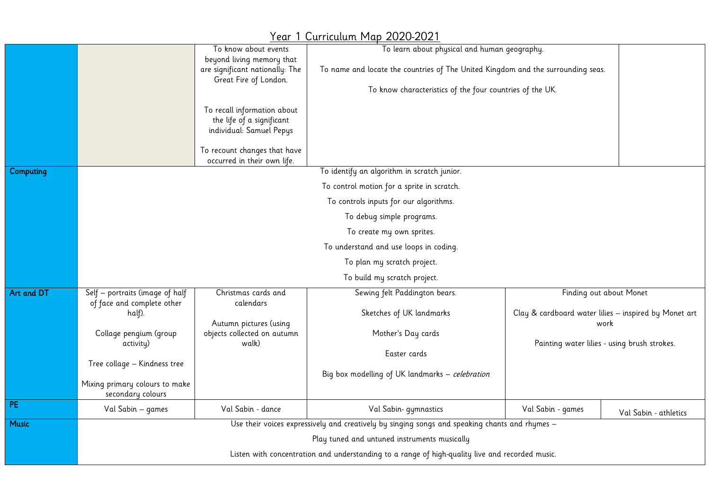#### To know about events beyond living memory that are significant nationally: The Great Fire of London. To recall information about the life of a significant individual: Samuel Pepys To recount changes that have occurred in their own life. To learn about physical and human geography. To name and locate the countries of The United Kingdom and the surrounding seas. To know characteristics of the four countries of the UK. Computing To identify an algorithm in scratch junior. To control motion for a sprite in scratch. To controls inputs for our algorithms. To debug simple programs. To create my own sprites. To understand and use loops in coding. To plan my scratch project. To build my scratch project. Art and DT Self – portraits (image of half of face and complete other half). Collage pengium (group activity) Tree collage – Kindness tree Mixing primary colours to make secondary colours Christmas cards and calendars Autumn pictures (using objects collected on autumn walk) Sewing felt Paddington bears. Sketches of UK landmarks Mother's Day cards Easter cards Big box modelling of UK landmarks – celebration Finding out about Monet Clay & cardboard water lilies – inspired by Monet art work Painting water lilies - using brush strokes. PE Val Sabin – games Val Sabin - dance Val Sabin- gymnastics Val Sabin - games Val Sabin - athletics Music Music Use their voices expressively and creatively by singing songs and speaking chants and rhymes – Play tuned and untuned instruments musically Listen with concentration and understanding to a range of high-quality live and recorded music.